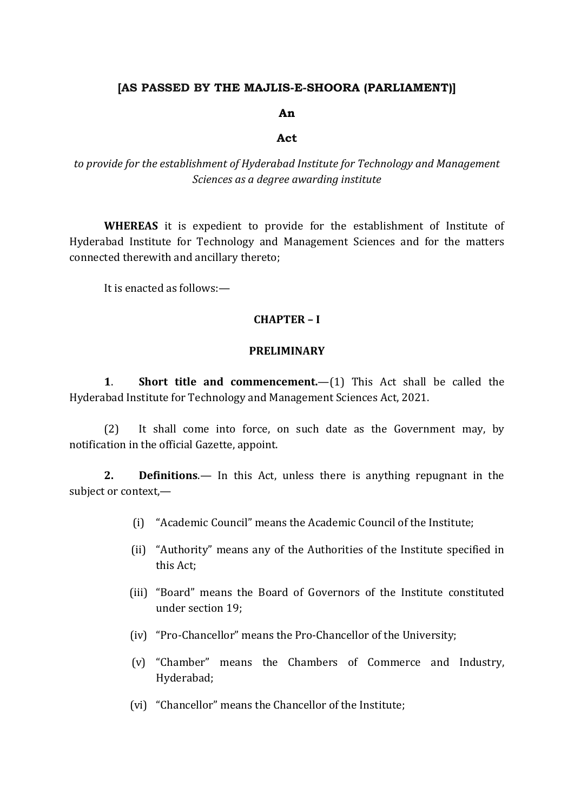### **[AS PASSED BY THE MAJLIS-E-SHOORA (PARLIAMENT)]**

#### **An**

#### **Act**

*to provide for the establishment of Hyderabad Institute for Technology and Management Sciences as a degree awarding institute*

**WHEREAS** it is expedient to provide for the establishment of Institute of Hyderabad Institute for Technology and Management Sciences and for the matters connected therewith and ancillary thereto;

It is enacted as follows:—

#### **CHAPTER – I**

#### **PRELIMINARY**

**1**. **Short title and commencement.**—(1) This Act shall be called the Hyderabad Institute for Technology and Management Sciences Act, 2021.

(2) It shall come into force, on such date as the Government may, by notification in the official Gazette, appoint.

**2. Definitions**.— In this Act, unless there is anything repugnant in the subject or context,—

- (i) "Academic Council" means the Academic Council of the Institute;
- (ii) "Authority" means any of the Authorities of the Institute specified in this Act;
- (iii) "Board" means the Board of Governors of the Institute constituted under section 19;
- (iv) "Pro-Chancellor" means the Pro-Chancellor of the University;
- (v) "Chamber" means the Chambers of Commerce and Industry, Hyderabad;
- (vi) "Chancellor" means the Chancellor of the Institute;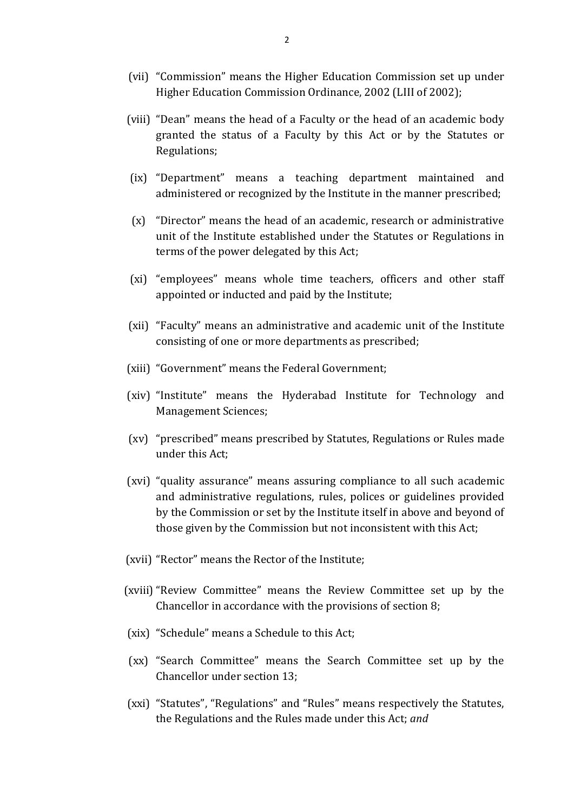- (vii) "Commission" means the Higher Education Commission set up under Higher Education Commission Ordinance, 2002 (LIII of 2002);
- (viii) "Dean" means the head of a Faculty or the head of an academic body granted the status of a Faculty by this Act or by the Statutes or Regulations;
- (ix) "Department" means a teaching department maintained and administered or recognized by the Institute in the manner prescribed;
- (x) "Director" means the head of an academic, research or administrative unit of the Institute established under the Statutes or Regulations in terms of the power delegated by this Act;
- (xi) "employees" means whole time teachers, officers and other staff appointed or inducted and paid by the Institute;
- (xii) "Faculty" means an administrative and academic unit of the Institute consisting of one or more departments as prescribed;
- (xiii) "Government" means the Federal Government;
- (xiv) "Institute" means the Hyderabad Institute for Technology and Management Sciences;
- (xv) "prescribed" means prescribed by Statutes, Regulations or Rules made under this Act;
- (xvi) "quality assurance" means assuring compliance to all such academic and administrative regulations, rules, polices or guidelines provided by the Commission or set by the Institute itself in above and beyond of those given by the Commission but not inconsistent with this Act;
- (xvii) "Rector" means the Rector of the Institute;
- (xviii) "Review Committee" means the Review Committee set up by the Chancellor in accordance with the provisions of section 8;
- (xix) "Schedule" means a Schedule to this Act;
- (xx) "Search Committee" means the Search Committee set up by the Chancellor under section 13;
- (xxi) "Statutes", "Regulations" and "Rules" means respectively the Statutes, the Regulations and the Rules made under this Act; *and*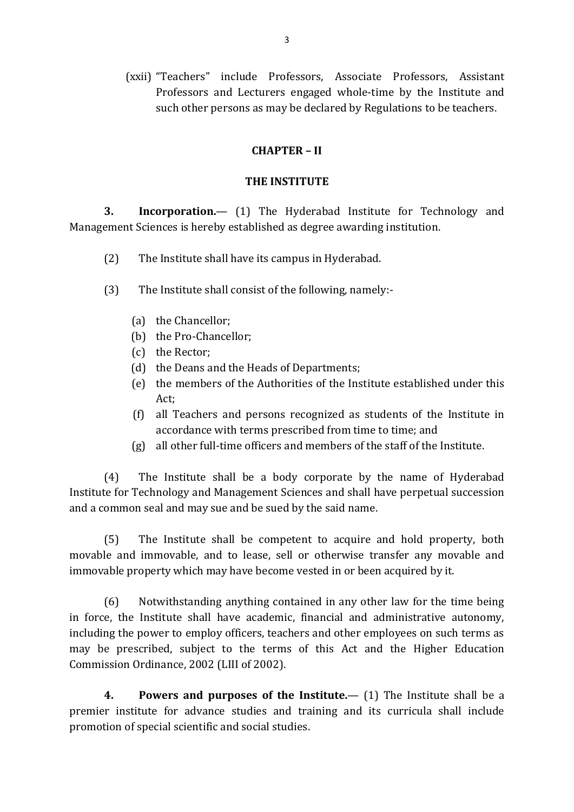(xxii) "Teachers" include Professors, Associate Professors, Assistant Professors and Lecturers engaged whole-time by the Institute and such other persons as may be declared by Regulations to be teachers.

# **CHAPTER – II**

#### **THE INSTITUTE**

**3. Incorporation.**— (1) The Hyderabad Institute for Technology and Management Sciences is hereby established as degree awarding institution.

- (2) The Institute shall have its campus in Hyderabad.
- (3) The Institute shall consist of the following, namely:-
	- (a) the Chancellor;
	- (b) the Pro-Chancellor;
	- (c) the Rector;
	- (d) the Deans and the Heads of Departments;
	- (e) the members of the Authorities of the Institute established under this Act;
	- (f) all Teachers and persons recognized as students of the Institute in accordance with terms prescribed from time to time; and
	- (g) all other full-time officers and members of the staff of the Institute.

(4) The Institute shall be a body corporate by the name of Hyderabad Institute for Technology and Management Sciences and shall have perpetual succession and a common seal and may sue and be sued by the said name.

(5) The Institute shall be competent to acquire and hold property, both movable and immovable, and to lease, sell or otherwise transfer any movable and immovable property which may have become vested in or been acquired by it.

(6) Notwithstanding anything contained in any other law for the time being in force, the Institute shall have academic, financial and administrative autonomy, including the power to employ officers, teachers and other employees on such terms as may be prescribed, subject to the terms of this Act and the Higher Education Commission Ordinance, 2002 (LIII of 2002).

**4. Powers and purposes of the Institute.**— (1) The Institute shall be a premier institute for advance studies and training and its curricula shall include promotion of special scientific and social studies.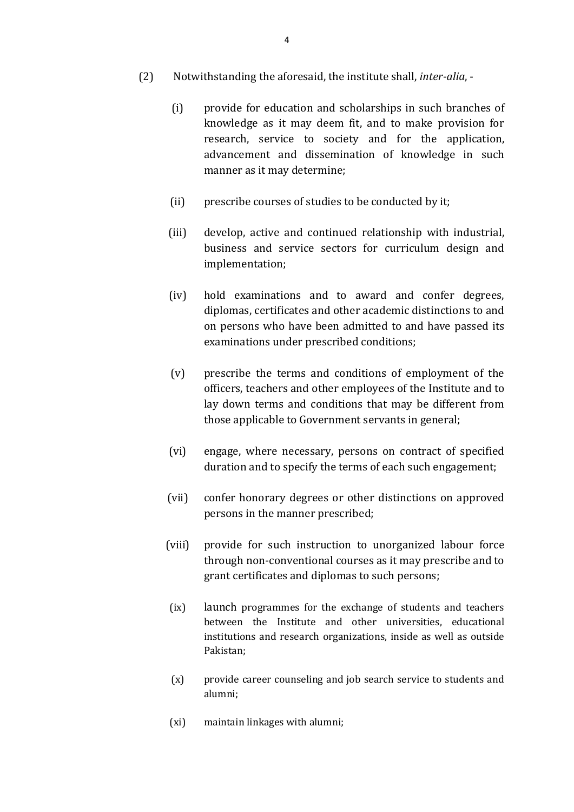- (2) Notwithstanding the aforesaid, the institute shall, *inter-alia*,
	- (i) provide for education and scholarships in such branches of knowledge as it may deem fit, and to make provision for research, service to society and for the application, advancement and dissemination of knowledge in such manner as it may determine;
	- (ii) prescribe courses of studies to be conducted by it;
	- (iii) develop, active and continued relationship with industrial, business and service sectors for curriculum design and implementation;
	- (iv) hold examinations and to award and confer degrees, diplomas, certificates and other academic distinctions to and on persons who have been admitted to and have passed its examinations under prescribed conditions;
	- (v) prescribe the terms and conditions of employment of the officers, teachers and other employees of the Institute and to lay down terms and conditions that may be different from those applicable to Government servants in general;
	- (vi) engage, where necessary, persons on contract of specified duration and to specify the terms of each such engagement;
	- (vii) confer honorary degrees or other distinctions on approved persons in the manner prescribed;
	- (viii) provide for such instruction to unorganized labour force through non-conventional courses as it may prescribe and to grant certificates and diplomas to such persons;
	- (ix) launch programmes for the exchange of students and teachers between the Institute and other universities, educational institutions and research organizations, inside as well as outside Pakistan;
	- (x) provide career counseling and job search service to students and alumni;
	- (xi) maintain linkages with alumni;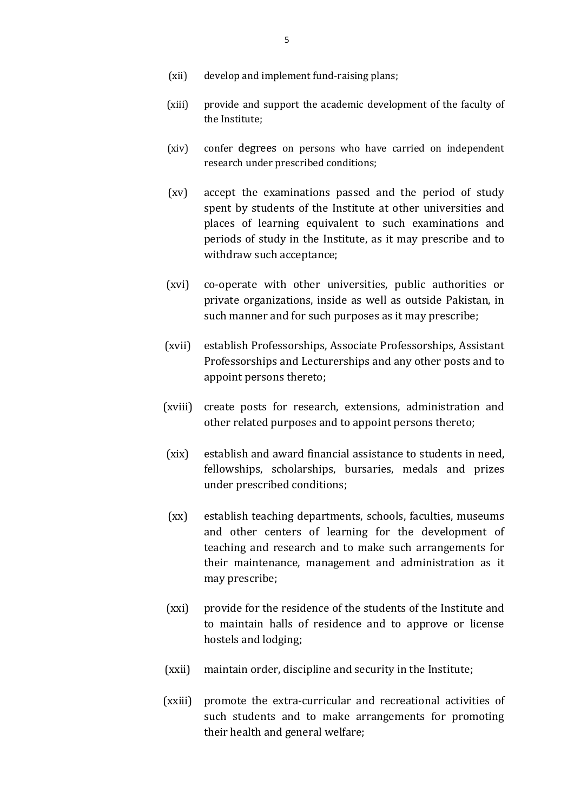- (xii) develop and implement fund-raising plans;
- (xiii) provide and support the academic development of the faculty of the Institute;
- (xiv) confer degrees on persons who have carried on independent research under prescribed conditions;
- (xv) accept the examinations passed and the period of study spent by students of the Institute at other universities and places of learning equivalent to such examinations and periods of study in the Institute, as it may prescribe and to withdraw such acceptance;
- (xvi) co-operate with other universities, public authorities or private organizations, inside as well as outside Pakistan, in such manner and for such purposes as it may prescribe;
- (xvii) establish Professorships, Associate Professorships, Assistant Professorships and Lecturerships and any other posts and to appoint persons thereto;
- (xviii) create posts for research, extensions, administration and other related purposes and to appoint persons thereto;
- (xix) establish and award financial assistance to students in need, fellowships, scholarships, bursaries, medals and prizes under prescribed conditions;
- (xx) establish teaching departments, schools, faculties, museums and other centers of learning for the development of teaching and research and to make such arrangements for their maintenance, management and administration as it may prescribe;
- (xxi) provide for the residence of the students of the Institute and to maintain halls of residence and to approve or license hostels and lodging;
- (xxii) maintain order, discipline and security in the Institute;
- (xxiii) promote the extra-curricular and recreational activities of such students and to make arrangements for promoting their health and general welfare;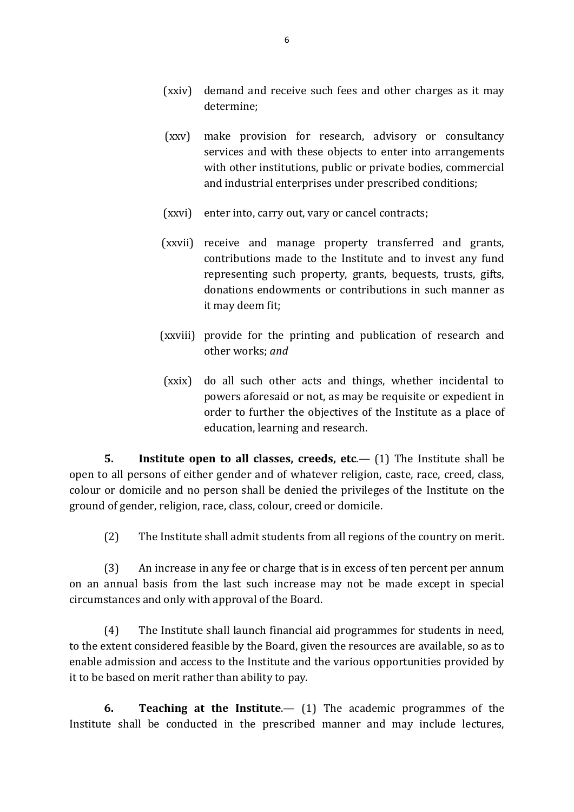- (xxiv) demand and receive such fees and other charges as it may determine;
- (xxv) make provision for research, advisory or consultancy services and with these objects to enter into arrangements with other institutions, public or private bodies, commercial and industrial enterprises under prescribed conditions;
- (xxvi) enter into, carry out, vary or cancel contracts;
- (xxvii) receive and manage property transferred and grants, contributions made to the Institute and to invest any fund representing such property, grants, bequests, trusts, gifts, donations endowments or contributions in such manner as it may deem fit;
- (xxviii) provide for the printing and publication of research and other works; *and*
- (xxix) do all such other acts and things, whether incidental to powers aforesaid or not, as may be requisite or expedient in order to further the objectives of the Institute as a place of education, learning and research.

**5. Institute open to all classes, creeds, etc**.— (1) The Institute shall be open to all persons of either gender and of whatever religion, caste, race, creed, class, colour or domicile and no person shall be denied the privileges of the Institute on the ground of gender, religion, race, class, colour, creed or domicile.

(2) The Institute shall admit students from all regions of the country on merit.

(3) An increase in any fee or charge that is in excess of ten percent per annum on an annual basis from the last such increase may not be made except in special circumstances and only with approval of the Board.

(4) The Institute shall launch financial aid programmes for students in need, to the extent considered feasible by the Board, given the resources are available, so as to enable admission and access to the Institute and the various opportunities provided by it to be based on merit rather than ability to pay.

**6. Teaching at the Institute**.— (1) The academic programmes of the Institute shall be conducted in the prescribed manner and may include lectures,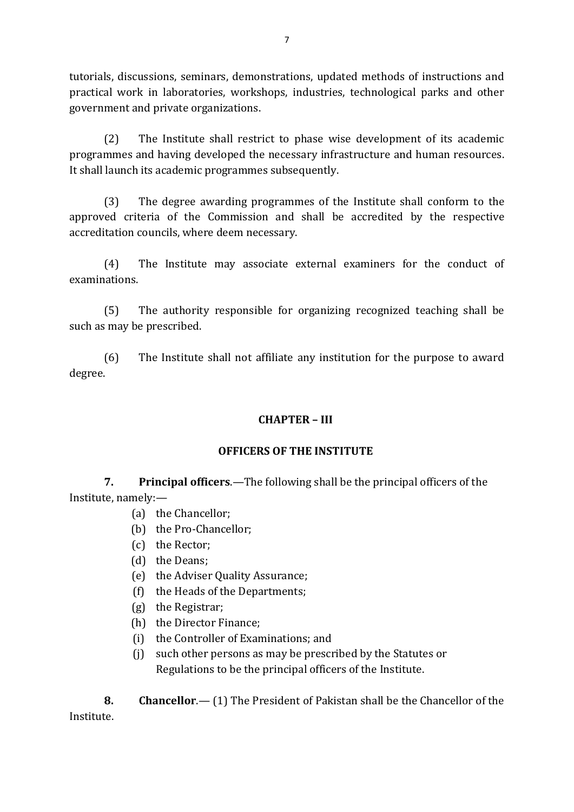tutorials, discussions, seminars, demonstrations, updated methods of instructions and practical work in laboratories, workshops, industries, technological parks and other government and private organizations.

(2) The Institute shall restrict to phase wise development of its academic programmes and having developed the necessary infrastructure and human resources. It shall launch its academic programmes subsequently.

(3) The degree awarding programmes of the Institute shall conform to the approved criteria of the Commission and shall be accredited by the respective accreditation councils, where deem necessary.

(4) The Institute may associate external examiners for the conduct of examinations.

(5) The authority responsible for organizing recognized teaching shall be such as may be prescribed.

(6) The Institute shall not affiliate any institution for the purpose to award degree.

# **CHAPTER – III**

# **OFFICERS OF THE INSTITUTE**

**7. Principal officers**.—The following shall be the principal officers of the Institute, namely:—

- (a) the Chancellor;
- (b) the Pro-Chancellor;
- (c) the Rector;
- (d) the Deans;
- (e) the Adviser Quality Assurance;
- (f) the Heads of the Departments;
- (g) the Registrar;
- (h) the Director Finance;
- (i) the Controller of Examinations; and
- (j) such other persons as may be prescribed by the Statutes or Regulations to be the principal officers of the Institute.

**8. Chancellor**.— (1) The President of Pakistan shall be the Chancellor of the Institute.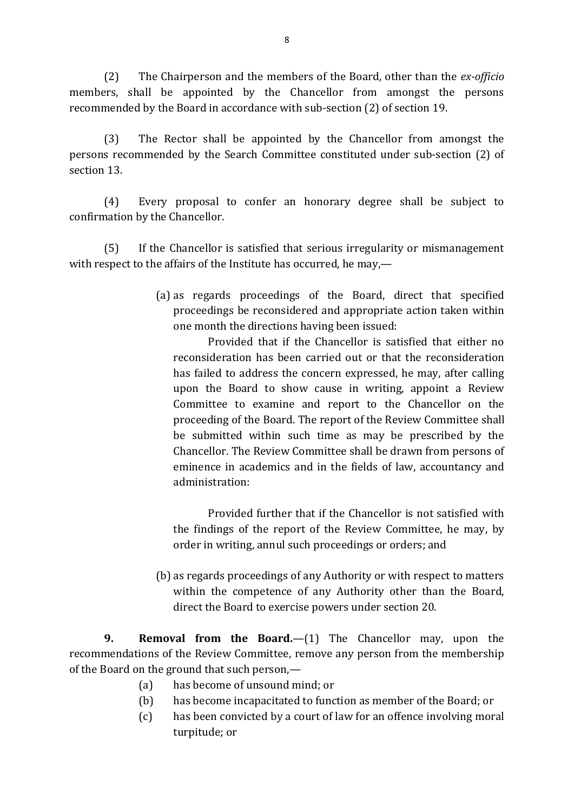(2) The Chairperson and the members of the Board, other than the *ex-officio* members, shall be appointed by the Chancellor from amongst the persons recommended by the Board in accordance with sub-section (2) of section 19.

(3) The Rector shall be appointed by the Chancellor from amongst the persons recommended by the Search Committee constituted under sub-section (2) of section 13.

(4) Every proposal to confer an honorary degree shall be subject to confirmation by the Chancellor.

(5) If the Chancellor is satisfied that serious irregularity or mismanagement with respect to the affairs of the Institute has occurred, he may,—

> (a) as regards proceedings of the Board, direct that specified proceedings be reconsidered and appropriate action taken within one month the directions having been issued:

Provided that if the Chancellor is satisfied that either no reconsideration has been carried out or that the reconsideration has failed to address the concern expressed, he may, after calling upon the Board to show cause in writing, appoint a Review Committee to examine and report to the Chancellor on the proceeding of the Board. The report of the Review Committee shall be submitted within such time as may be prescribed by the Chancellor. The Review Committee shall be drawn from persons of eminence in academics and in the fields of law, accountancy and administration:

Provided further that if the Chancellor is not satisfied with the findings of the report of the Review Committee, he may, by order in writing, annul such proceedings or orders; and

(b) as regards proceedings of any Authority or with respect to matters within the competence of any Authority other than the Board, direct the Board to exercise powers under section 20.

**9. Removal from the Board.**—(1) The Chancellor may, upon the recommendations of the Review Committee, remove any person from the membership of the Board on the ground that such person,—

- (a) has become of unsound mind; or
- (b) has become incapacitated to function as member of the Board; or
- (c) has been convicted by a court of law for an offence involving moral turpitude; or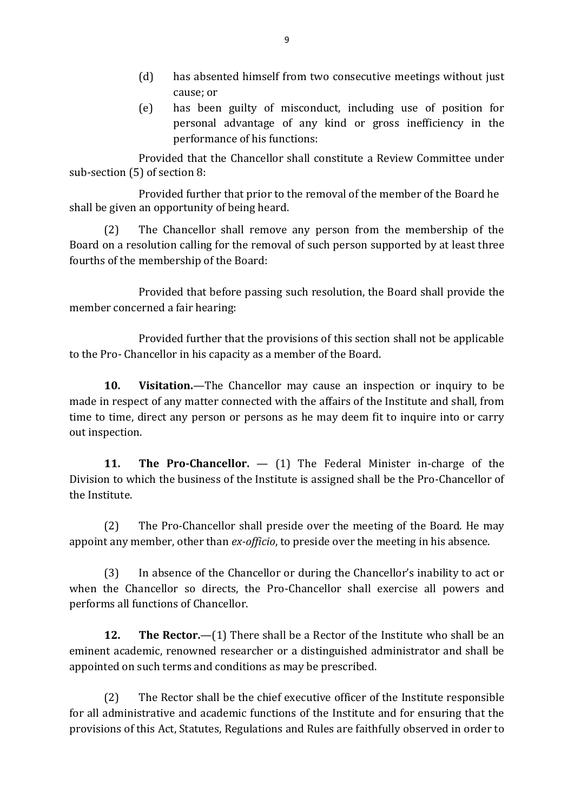- (d) has absented himself from two consecutive meetings without just cause; or
- (e) has been guilty of misconduct, including use of position for personal advantage of any kind or gross inefficiency in the performance of his functions:

Provided that the Chancellor shall constitute a Review Committee under sub-section (5) of section 8:

Provided further that prior to the removal of the member of the Board he shall be given an opportunity of being heard.

(2) The Chancellor shall remove any person from the membership of the Board on a resolution calling for the removal of such person supported by at least three fourths of the membership of the Board:

Provided that before passing such resolution, the Board shall provide the member concerned a fair hearing:

Provided further that the provisions of this section shall not be applicable to the Pro- Chancellor in his capacity as a member of the Board.

**10. Visitation.**—The Chancellor may cause an inspection or inquiry to be made in respect of any matter connected with the affairs of the Institute and shall, from time to time, direct any person or persons as he may deem fit to inquire into or carry out inspection.

**11. The Pro-Chancellor.** — (1) The Federal Minister in-charge of the Division to which the business of the Institute is assigned shall be the Pro-Chancellor of the Institute.

(2) The Pro-Chancellor shall preside over the meeting of the Board. He may appoint any member, other than *ex-officio*, to preside over the meeting in his absence.

(3) In absence of the Chancellor or during the Chancellor's inability to act or when the Chancellor so directs, the Pro-Chancellor shall exercise all powers and performs all functions of Chancellor.

**12. The Rector.**—(1) There shall be a Rector of the Institute who shall be an eminent academic, renowned researcher or a distinguished administrator and shall be appointed on such terms and conditions as may be prescribed.

(2) The Rector shall be the chief executive officer of the Institute responsible for all administrative and academic functions of the Institute and for ensuring that the provisions of this Act, Statutes, Regulations and Rules are faithfully observed in order to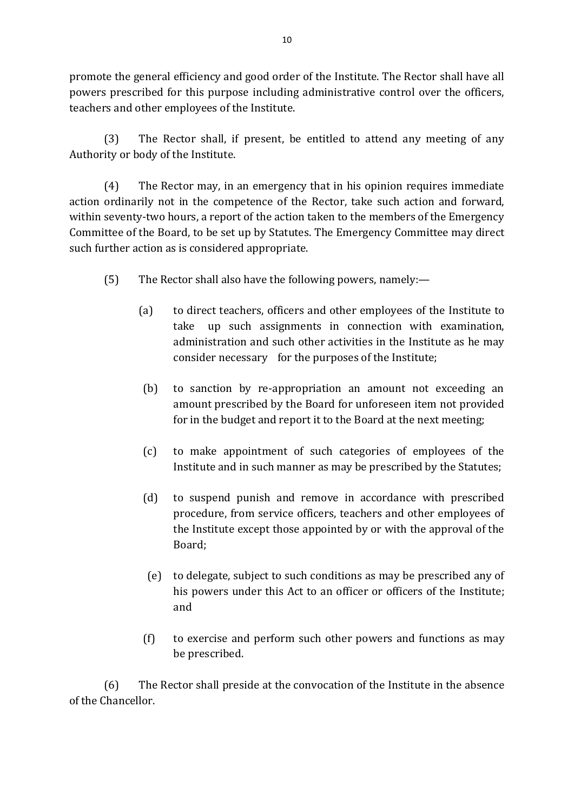promote the general efficiency and good order of the Institute. The Rector shall have all powers prescribed for this purpose including administrative control over the officers, teachers and other employees of the Institute.

(3) The Rector shall, if present, be entitled to attend any meeting of any Authority or body of the Institute.

(4) The Rector may, in an emergency that in his opinion requires immediate action ordinarily not in the competence of the Rector, take such action and forward, within seventy-two hours, a report of the action taken to the members of the Emergency Committee of the Board, to be set up by Statutes. The Emergency Committee may direct such further action as is considered appropriate.

- (5) The Rector shall also have the following powers, namely:—
	- (a) to direct teachers, officers and other employees of the Institute to take up such assignments in connection with examination, administration and such other activities in the Institute as he may consider necessary for the purposes of the Institute;
		- (b) to sanction by re-appropriation an amount not exceeding an amount prescribed by the Board for unforeseen item not provided for in the budget and report it to the Board at the next meeting;
		- (c) to make appointment of such categories of employees of the Institute and in such manner as may be prescribed by the Statutes;
		- (d) to suspend punish and remove in accordance with prescribed procedure, from service officers, teachers and other employees of the Institute except those appointed by or with the approval of the Board;
		- (e) to delegate, subject to such conditions as may be prescribed any of his powers under this Act to an officer or officers of the Institute; and
		- (f) to exercise and perform such other powers and functions as may be prescribed.

(6) The Rector shall preside at the convocation of the Institute in the absence of the Chancellor.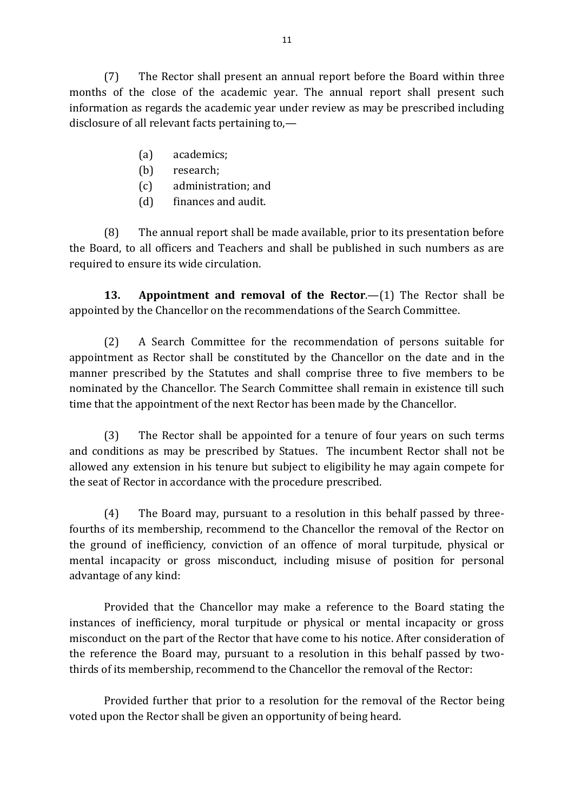(7) The Rector shall present an annual report before the Board within three months of the close of the academic year. The annual report shall present such information as regards the academic year under review as may be prescribed including disclosure of all relevant facts pertaining to,—

- (a) academics;
- (b) research;
- (c) administration; and
- (d) finances and audit.

(8) The annual report shall be made available, prior to its presentation before the Board, to all officers and Teachers and shall be published in such numbers as are required to ensure its wide circulation.

**13. Appointment and removal of the Rector**.—(1) The Rector shall be appointed by the Chancellor on the recommendations of the Search Committee.

(2) A Search Committee for the recommendation of persons suitable for appointment as Rector shall be constituted by the Chancellor on the date and in the manner prescribed by the Statutes and shall comprise three to five members to be nominated by the Chancellor. The Search Committee shall remain in existence till such time that the appointment of the next Rector has been made by the Chancellor.

(3) The Rector shall be appointed for a tenure of four years on such terms and conditions as may be prescribed by Statues. The incumbent Rector shall not be allowed any extension in his tenure but subject to eligibility he may again compete for the seat of Rector in accordance with the procedure prescribed.

(4) The Board may, pursuant to a resolution in this behalf passed by threefourths of its membership, recommend to the Chancellor the removal of the Rector on the ground of inefficiency, conviction of an offence of moral turpitude, physical or mental incapacity or gross misconduct, including misuse of position for personal advantage of any kind:

Provided that the Chancellor may make a reference to the Board stating the instances of inefficiency, moral turpitude or physical or mental incapacity or gross misconduct on the part of the Rector that have come to his notice. After consideration of the reference the Board may, pursuant to a resolution in this behalf passed by twothirds of its membership, recommend to the Chancellor the removal of the Rector:

Provided further that prior to a resolution for the removal of the Rector being voted upon the Rector shall be given an opportunity of being heard.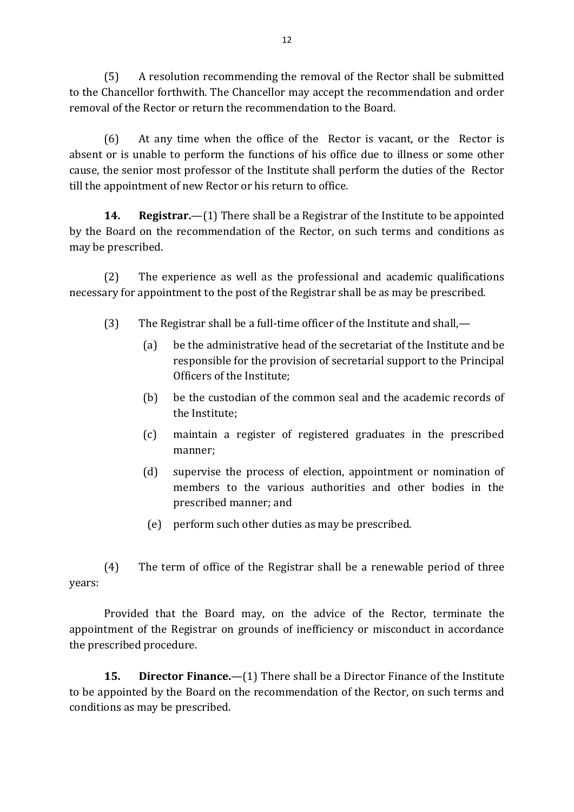(5) A resolution recommending the removal of the Rector shall be submitted to the Chancellor forthwith. The Chancellor may accept the recommendation and order removal of the Rector or return the recommendation to the Board.

(6) At any time when the office of the Rector is vacant, or the Rector is absent or is unable to perform the functions of his office due to illness or some other cause, the senior most professor of the Institute shall perform the duties of the Rector till the appointment of new Rector or his return to office.

**14. Registrar.**—(1) There shall be a Registrar of the Institute to be appointed by the Board on the recommendation of the Rector, on such terms and conditions as may be prescribed.

(2) The experience as well as the professional and academic qualifications necessary for appointment to the post of the Registrar shall be as may be prescribed.

- (3) The Registrar shall be a full-time officer of the Institute and shall,—
	- (a) be the administrative head of the secretariat of the Institute and be responsible for the provision of secretarial support to the Principal Officers of the Institute;
	- (b) be the custodian of the common seal and the academic records of the Institute;
	- (c) maintain a register of registered graduates in the prescribed manner;
	- (d) supervise the process of election, appointment or nomination of members to the various authorities and other bodies in the prescribed manner; and
	- (e) perform such other duties as may be prescribed.

(4) The term of office of the Registrar shall be a renewable period of three years:

Provided that the Board may, on the advice of the Rector, terminate the appointment of the Registrar on grounds of inefficiency or misconduct in accordance the prescribed procedure.

**15. Director Finance.**—(1) There shall be a Director Finance of the Institute to be appointed by the Board on the recommendation of the Rector, on such terms and conditions as may be prescribed.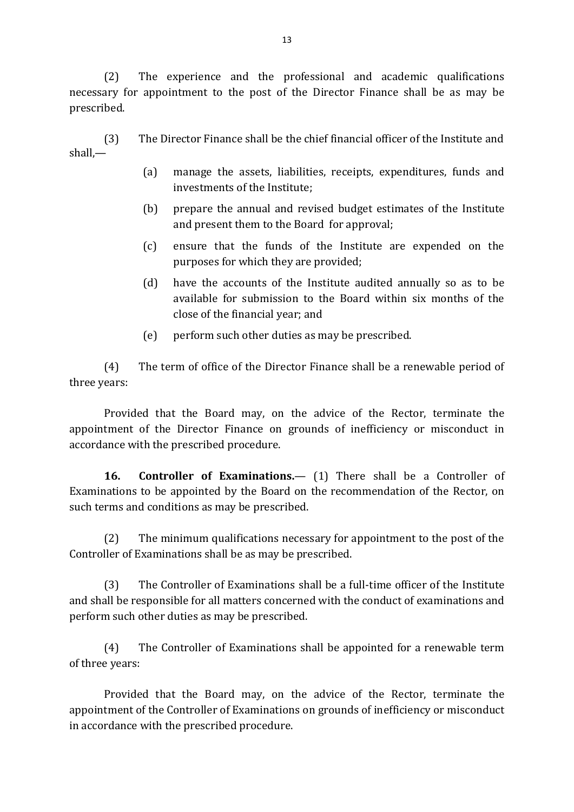(2) The experience and the professional and academic qualifications necessary for appointment to the post of the Director Finance shall be as may be prescribed.

(3) The Director Finance shall be the chief financial officer of the Institute and shall,—

- (a) manage the assets, liabilities, receipts, expenditures, funds and investments of the Institute;
- (b) prepare the annual and revised budget estimates of the Institute and present them to the Board for approval;
- (c) ensure that the funds of the Institute are expended on the purposes for which they are provided;
- (d) have the accounts of the Institute audited annually so as to be available for submission to the Board within six months of the close of the financial year; and
- (e) perform such other duties as may be prescribed.

(4) The term of office of the Director Finance shall be a renewable period of three years:

Provided that the Board may, on the advice of the Rector, terminate the appointment of the Director Finance on grounds of inefficiency or misconduct in accordance with the prescribed procedure.

**16. Controller of Examinations.**— (1) There shall be a Controller of Examinations to be appointed by the Board on the recommendation of the Rector, on such terms and conditions as may be prescribed.

(2) The minimum qualifications necessary for appointment to the post of the Controller of Examinations shall be as may be prescribed.

(3) The Controller of Examinations shall be a full-time officer of the Institute and shall be responsible for all matters concerned with the conduct of examinations and perform such other duties as may be prescribed.

(4) The Controller of Examinations shall be appointed for a renewable term of three years:

Provided that the Board may, on the advice of the Rector, terminate the appointment of the Controller of Examinations on grounds of inefficiency or misconduct in accordance with the prescribed procedure.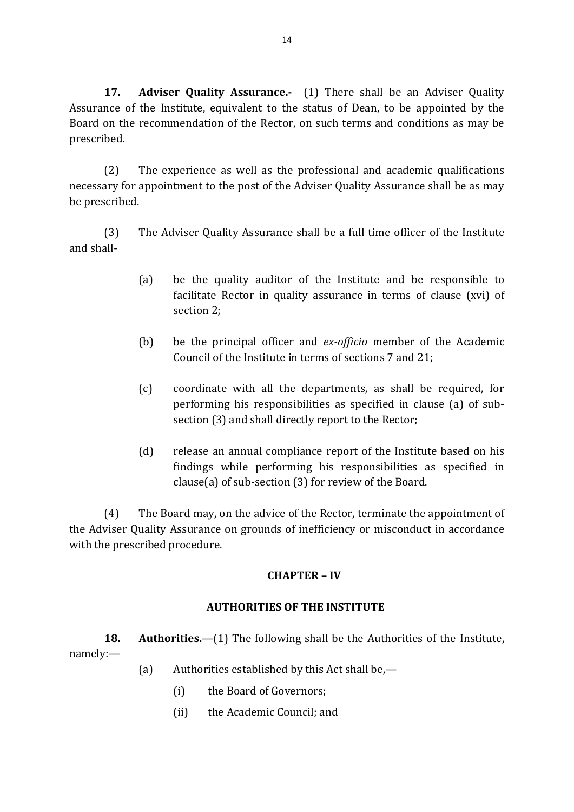**17. Adviser Quality Assurance.-** (1) There shall be an Adviser Quality Assurance of the Institute, equivalent to the status of Dean, to be appointed by the Board on the recommendation of the Rector, on such terms and conditions as may be prescribed.

(2) The experience as well as the professional and academic qualifications necessary for appointment to the post of the Adviser Quality Assurance shall be as may be prescribed.

(3) The Adviser Quality Assurance shall be a full time officer of the Institute and shall-

- (a) be the quality auditor of the Institute and be responsible to facilitate Rector in quality assurance in terms of clause (xvi) of section 2;
- (b) be the principal officer and *ex-officio* member of the Academic Council of the Institute in terms of sections 7 and 21;
- (c) coordinate with all the departments, as shall be required, for performing his responsibilities as specified in clause (a) of subsection (3) and shall directly report to the Rector;
- (d) release an annual compliance report of the Institute based on his findings while performing his responsibilities as specified in clause(a) of sub-section (3) for review of the Board.

(4) The Board may, on the advice of the Rector, terminate the appointment of the Adviser Quality Assurance on grounds of inefficiency or misconduct in accordance with the prescribed procedure.

# **CHAPTER – IV**

# **AUTHORITIES OF THE INSTITUTE**

**18. Authorities.**—(1) The following shall be the Authorities of the Institute, namely:—

- (a) Authorities established by this Act shall be,—
	- (i) the Board of Governors;
	- (ii) the Academic Council; and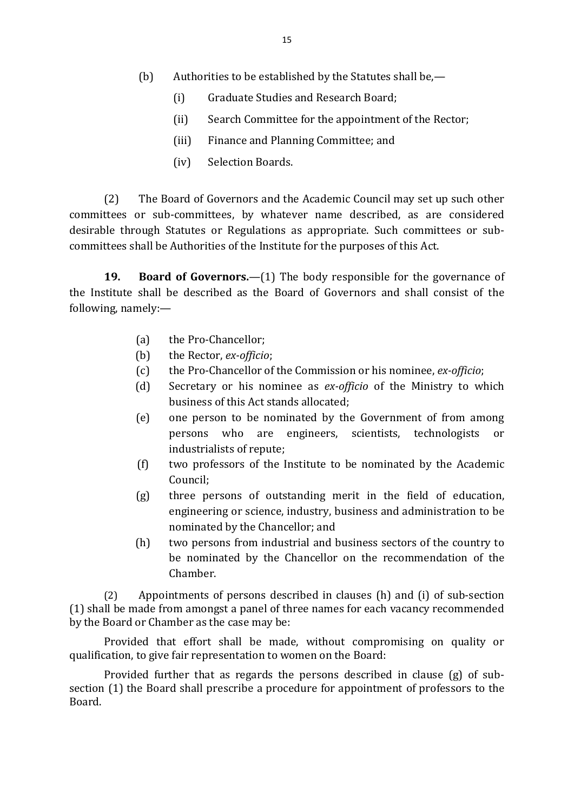- (b) Authorities to be established by the Statutes shall be,—
	- (i) Graduate Studies and Research Board;
	- (ii) Search Committee for the appointment of the Rector;
	- (iii) Finance and Planning Committee; and
	- (iv) Selection Boards.

(2) The Board of Governors and the Academic Council may set up such other committees or sub-committees, by whatever name described, as are considered desirable through Statutes or Regulations as appropriate. Such committees or subcommittees shall be Authorities of the Institute for the purposes of this Act.

**19. Board of Governors.**—(1) The body responsible for the governance of the Institute shall be described as the Board of Governors and shall consist of the following, namely:—

- (a) the Pro-Chancellor;
- (b) the Rector, *ex-officio*;
- (c) the Pro-Chancellor of the Commission or his nominee, *ex-officio*;
- (d) Secretary or his nominee as *ex-officio* of the Ministry to which business of this Act stands allocated;
- (e) one person to be nominated by the Government of from among persons who are engineers, scientists, technologists or industrialists of repute;
- (f) two professors of the Institute to be nominated by the Academic Council;
- (g) three persons of outstanding merit in the field of education, engineering or science, industry, business and administration to be nominated by the Chancellor; and
- (h) two persons from industrial and business sectors of the country to be nominated by the Chancellor on the recommendation of the Chamber.

(2) Appointments of persons described in clauses (h) and (i) of sub-section (1) shall be made from amongst a panel of three names for each vacancy recommended by the Board or Chamber as the case may be:

Provided that effort shall be made, without compromising on quality or qualification, to give fair representation to women on the Board:

Provided further that as regards the persons described in clause (g) of subsection (1) the Board shall prescribe a procedure for appointment of professors to the Board.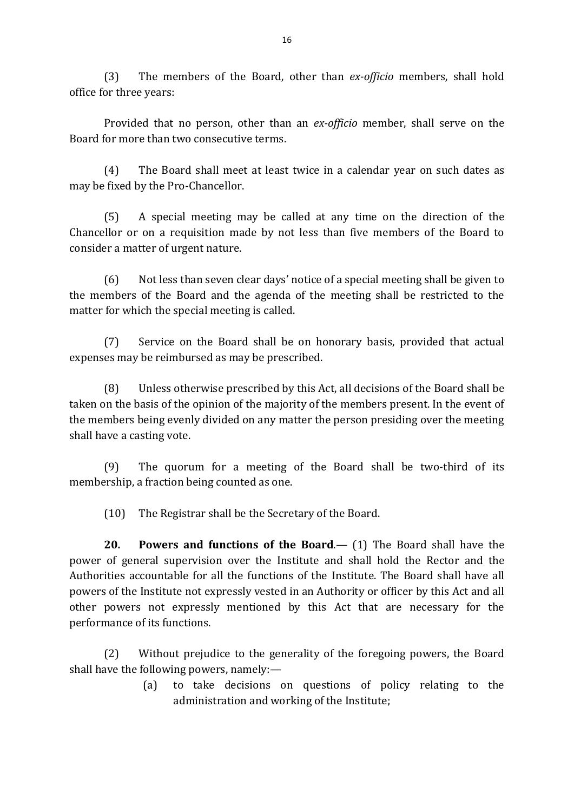(3) The members of the Board, other than *ex-officio* members, shall hold office for three years:

Provided that no person, other than an *ex-officio* member, shall serve on the Board for more than two consecutive terms.

(4) The Board shall meet at least twice in a calendar year on such dates as may be fixed by the Pro-Chancellor.

(5) A special meeting may be called at any time on the direction of the Chancellor or on a requisition made by not less than five members of the Board to consider a matter of urgent nature.

(6) Not less than seven clear days' notice of a special meeting shall be given to the members of the Board and the agenda of the meeting shall be restricted to the matter for which the special meeting is called.

(7) Service on the Board shall be on honorary basis, provided that actual expenses may be reimbursed as may be prescribed.

(8) Unless otherwise prescribed by this Act, all decisions of the Board shall be taken on the basis of the opinion of the majority of the members present. In the event of the members being evenly divided on any matter the person presiding over the meeting shall have a casting vote.

(9) The quorum for a meeting of the Board shall be two-third of its membership, a fraction being counted as one.

(10) The Registrar shall be the Secretary of the Board.

**20. Powers and functions of the Board**.— (1) The Board shall have the power of general supervision over the Institute and shall hold the Rector and the Authorities accountable for all the functions of the Institute. The Board shall have all powers of the Institute not expressly vested in an Authority or officer by this Act and all other powers not expressly mentioned by this Act that are necessary for the performance of its functions.

(2) Without prejudice to the generality of the foregoing powers, the Board shall have the following powers, namely:—

> (a) to take decisions on questions of policy relating to the administration and working of the Institute;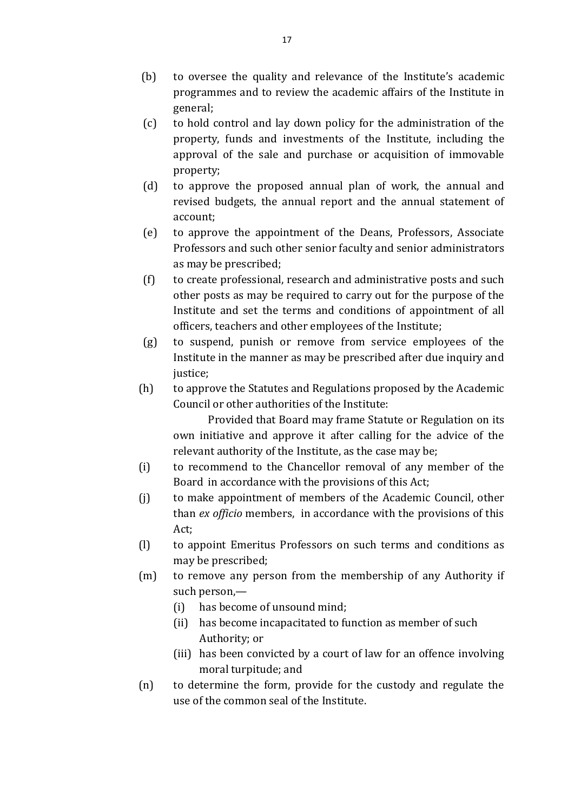- (b) to oversee the quality and relevance of the Institute's academic programmes and to review the academic affairs of the Institute in general;
- (c) to hold control and lay down policy for the administration of the property, funds and investments of the Institute, including the approval of the sale and purchase or acquisition of immovable property;
- (d) to approve the proposed annual plan of work, the annual and revised budgets, the annual report and the annual statement of account;
- (e) to approve the appointment of the Deans, Professors, Associate Professors and such other senior faculty and senior administrators as may be prescribed;
- (f) to create professional, research and administrative posts and such other posts as may be required to carry out for the purpose of the Institute and set the terms and conditions of appointment of all officers, teachers and other employees of the Institute;
- (g) to suspend, punish or remove from service employees of the Institute in the manner as may be prescribed after due inquiry and justice;
- (h) to approve the Statutes and Regulations proposed by the Academic Council or other authorities of the Institute:

Provided that Board may frame Statute or Regulation on its own initiative and approve it after calling for the advice of the relevant authority of the Institute, as the case may be;

- (i) to recommend to the Chancellor removal of any member of the Board in accordance with the provisions of this Act;
- (j) to make appointment of members of the Academic Council, other than *ex officio* members, in accordance with the provisions of this Act;
- (l) to appoint Emeritus Professors on such terms and conditions as may be prescribed;
- (m) to remove any person from the membership of any Authority if such person,—
	- (i) has become of unsound mind;
	- (ii) has become incapacitated to function as member of such Authority; or
	- (iii) has been convicted by a court of law for an offence involving moral turpitude; and
- (n) to determine the form, provide for the custody and regulate the use of the common seal of the Institute.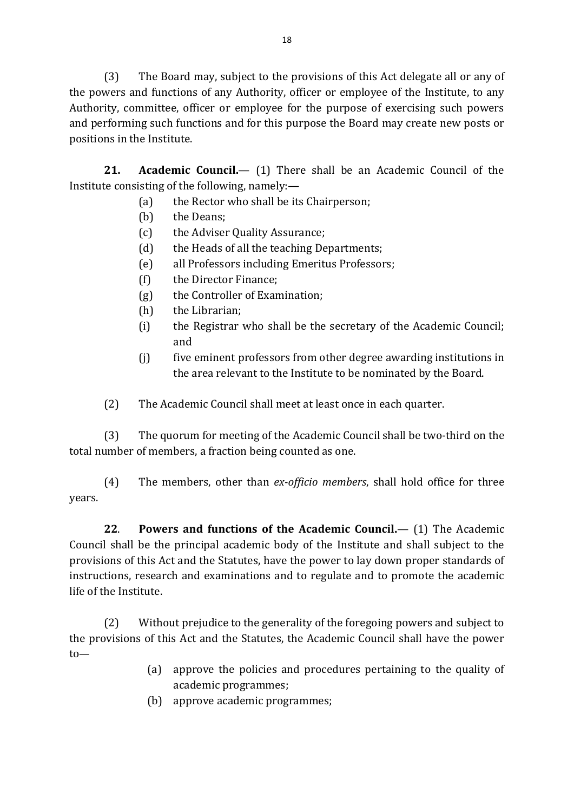(3) The Board may, subject to the provisions of this Act delegate all or any of the powers and functions of any Authority, officer or employee of the Institute, to any Authority, committee, officer or employee for the purpose of exercising such powers and performing such functions and for this purpose the Board may create new posts or positions in the Institute.

**21. Academic Council.**— (1) There shall be an Academic Council of the Institute consisting of the following, namely:—

- (a) the Rector who shall be its Chairperson;
- (b) the Deans;
- (c) the Adviser Quality Assurance;
- (d) the Heads of all the teaching Departments;
- (e) all Professors including Emeritus Professors;
- (f) the Director Finance;
- (g) the Controller of Examination;
- (h) the Librarian;
- (i) the Registrar who shall be the secretary of the Academic Council; and
- (j) five eminent professors from other degree awarding institutions in the area relevant to the Institute to be nominated by the Board.
- (2) The Academic Council shall meet at least once in each quarter.

(3) The quorum for meeting of the Academic Council shall be two-third on the total number of members, a fraction being counted as one.

(4) The members, other than *ex-officio members*, shall hold office for three years.

**22**. **Powers and functions of the Academic Council.**— (1) The Academic Council shall be the principal academic body of the Institute and shall subject to the provisions of this Act and the Statutes, have the power to lay down proper standards of instructions, research and examinations and to regulate and to promote the academic life of the Institute.

(2) Without prejudice to the generality of the foregoing powers and subject to the provisions of this Act and the Statutes, the Academic Council shall have the power to—

- (a) approve the policies and procedures pertaining to the quality of academic programmes;
- (b) approve academic programmes;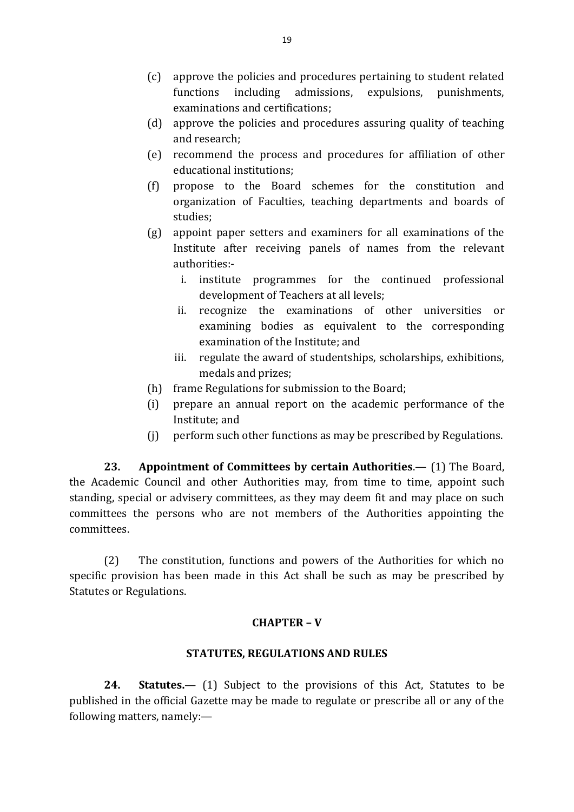- (c) approve the policies and procedures pertaining to student related functions including admissions, expulsions, punishments, examinations and certifications;
- (d) approve the policies and procedures assuring quality of teaching and research;
- (e) recommend the process and procedures for affiliation of other educational institutions;
- (f) propose to the Board schemes for the constitution and organization of Faculties, teaching departments and boards of studies;
- (g) appoint paper setters and examiners for all examinations of the Institute after receiving panels of names from the relevant authorities:
	- i. institute programmes for the continued professional development of Teachers at all levels;
	- ii. recognize the examinations of other universities or examining bodies as equivalent to the corresponding examination of the Institute; and
	- iii. regulate the award of studentships, scholarships, exhibitions, medals and prizes;
- (h) frame Regulations for submission to the Board;
- (i) prepare an annual report on the academic performance of the Institute; and
- (j) perform such other functions as may be prescribed by Regulations.

**23. Appointment of Committees by certain Authorities**.— (1) The Board, the Academic Council and other Authorities may, from time to time, appoint such standing, special or advisery committees, as they may deem fit and may place on such committees the persons who are not members of the Authorities appointing the committees.

(2) The constitution, functions and powers of the Authorities for which no specific provision has been made in this Act shall be such as may be prescribed by Statutes or Regulations.

# **CHAPTER – V**

# **STATUTES, REGULATIONS AND RULES**

**24. Statutes.**— (1) Subject to the provisions of this Act, Statutes to be published in the official Gazette may be made to regulate or prescribe all or any of the following matters, namely:—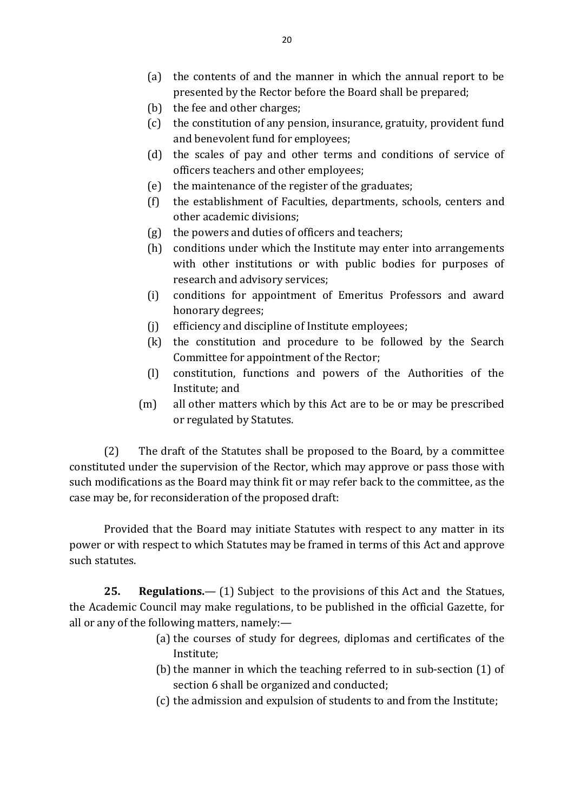- (a) the contents of and the manner in which the annual report to be presented by the Rector before the Board shall be prepared;
- (b) the fee and other charges;
- (c) the constitution of any pension, insurance, gratuity, provident fund and benevolent fund for employees;
- (d) the scales of pay and other terms and conditions of service of officers teachers and other employees;
- (e) the maintenance of the register of the graduates;
- (f) the establishment of Faculties, departments, schools, centers and other academic divisions;
- (g) the powers and duties of officers and teachers;
- (h) conditions under which the Institute may enter into arrangements with other institutions or with public bodies for purposes of research and advisory services;
- (i) conditions for appointment of Emeritus Professors and award honorary degrees;
- (j) efficiency and discipline of Institute employees;
- (k) the constitution and procedure to be followed by the Search Committee for appointment of the Rector;
- (l) constitution, functions and powers of the Authorities of the Institute; and
- (m) all other matters which by this Act are to be or may be prescribed or regulated by Statutes.

(2) The draft of the Statutes shall be proposed to the Board, by a committee constituted under the supervision of the Rector, which may approve or pass those with such modifications as the Board may think fit or may refer back to the committee, as the case may be, for reconsideration of the proposed draft:

Provided that the Board may initiate Statutes with respect to any matter in its power or with respect to which Statutes may be framed in terms of this Act and approve such statutes.

**25. Regulations.**— (1) Subject to the provisions of this Act and the Statues, the Academic Council may make regulations, to be published in the official Gazette, for all or any of the following matters, namely:—

- (a) the courses of study for degrees, diplomas and certificates of the Institute;
- (b) the manner in which the teaching referred to in sub-section  $(1)$  of section 6 shall be organized and conducted;
- (c) the admission and expulsion of students to and from the Institute;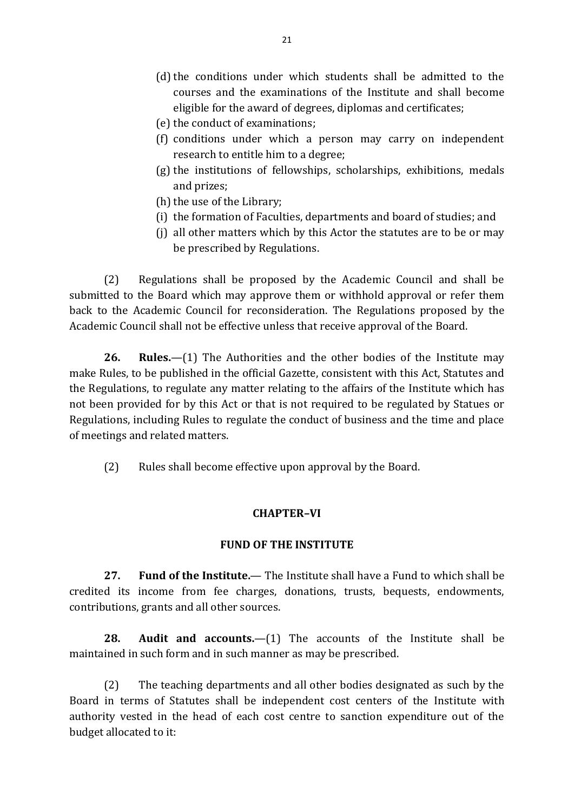- (d) the conditions under which students shall be admitted to the courses and the examinations of the Institute and shall become eligible for the award of degrees, diplomas and certificates;
- (e) the conduct of examinations;
- (f) conditions under which a person may carry on independent research to entitle him to a degree;
- (g) the institutions of fellowships, scholarships, exhibitions, medals and prizes;
- (h) the use of the Library;
- (i) the formation of Faculties, departments and board of studies; and
- (j) all other matters which by this Actor the statutes are to be or may be prescribed by Regulations.

(2) Regulations shall be proposed by the Academic Council and shall be submitted to the Board which may approve them or withhold approval or refer them back to the Academic Council for reconsideration. The Regulations proposed by the Academic Council shall not be effective unless that receive approval of the Board.

**26. Rules.**—(1) The Authorities and the other bodies of the Institute may make Rules, to be published in the official Gazette, consistent with this Act, Statutes and the Regulations, to regulate any matter relating to the affairs of the Institute which has not been provided for by this Act or that is not required to be regulated by Statues or Regulations, including Rules to regulate the conduct of business and the time and place of meetings and related matters.

(2) Rules shall become effective upon approval by the Board.

#### **CHAPTER***–***VI**

#### **FUND OF THE INSTITUTE**

**27. Fund of the Institute.**— The Institute shall have a Fund to which shall be credited its income from fee charges, donations, trusts, bequests, endowments, contributions, grants and all other sources.

**28. Audit and accounts.**—(1) The accounts of the Institute shall be maintained in such form and in such manner as may be prescribed.

(2) The teaching departments and all other bodies designated as such by the Board in terms of Statutes shall be independent cost centers of the Institute with authority vested in the head of each cost centre to sanction expenditure out of the budget allocated to it: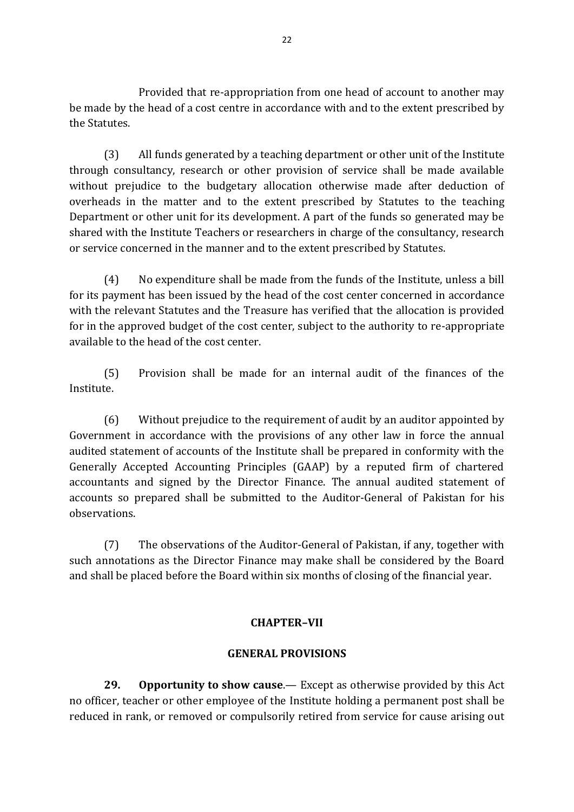Provided that re-appropriation from one head of account to another may be made by the head of a cost centre in accordance with and to the extent prescribed by the Statutes.

(3) All funds generated by a teaching department or other unit of the Institute through consultancy, research or other provision of service shall be made available without prejudice to the budgetary allocation otherwise made after deduction of overheads in the matter and to the extent prescribed by Statutes to the teaching Department or other unit for its development. A part of the funds so generated may be shared with the Institute Teachers or researchers in charge of the consultancy, research or service concerned in the manner and to the extent prescribed by Statutes.

(4) No expenditure shall be made from the funds of the Institute, unless a bill for its payment has been issued by the head of the cost center concerned in accordance with the relevant Statutes and the Treasure has verified that the allocation is provided for in the approved budget of the cost center, subject to the authority to re-appropriate available to the head of the cost center.

(5) Provision shall be made for an internal audit of the finances of the Institute.

(6) Without prejudice to the requirement of audit by an auditor appointed by Government in accordance with the provisions of any other law in force the annual audited statement of accounts of the Institute shall be prepared in conformity with the Generally Accepted Accounting Principles (GAAP) by a reputed firm of chartered accountants and signed by the Director Finance. The annual audited statement of accounts so prepared shall be submitted to the Auditor-General of Pakistan for his observations.

(7) The observations of the Auditor-General of Pakistan, if any, together with such annotations as the Director Finance may make shall be considered by the Board and shall be placed before the Board within six months of closing of the financial year.

#### **CHAPTER***–***VII**

#### **GENERAL PROVISIONS**

**29. Opportunity to show cause**.— Except as otherwise provided by this Act no officer, teacher or other employee of the Institute holding a permanent post shall be reduced in rank, or removed or compulsorily retired from service for cause arising out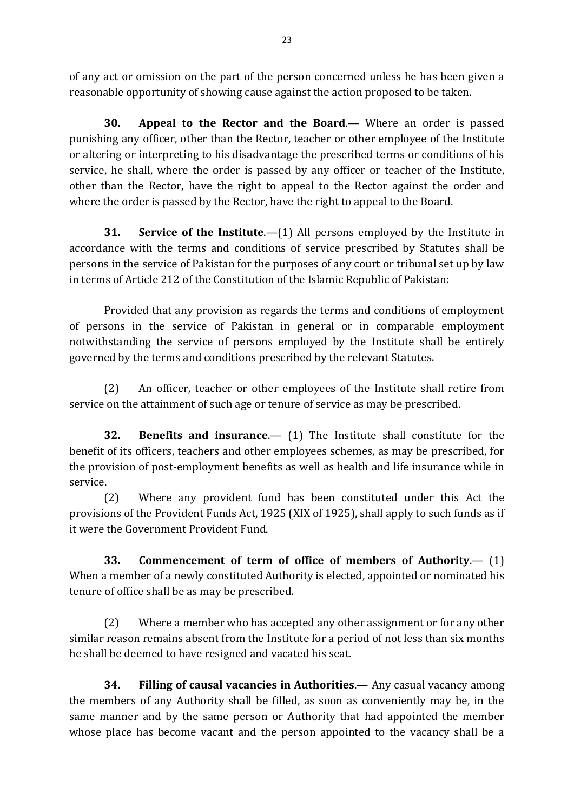of any act or omission on the part of the person concerned unless he has been given a reasonable opportunity of showing cause against the action proposed to be taken.

**30. Appeal to the Rector and the Board**.— Where an order is passed punishing any officer, other than the Rector, teacher or other employee of the Institute or altering or interpreting to his disadvantage the prescribed terms or conditions of his service, he shall, where the order is passed by any officer or teacher of the Institute, other than the Rector, have the right to appeal to the Rector against the order and where the order is passed by the Rector, have the right to appeal to the Board.

**31. Service of the Institute.**—(1) All persons employed by the Institute in accordance with the terms and conditions of service prescribed by Statutes shall be persons in the service of Pakistan for the purposes of any court or tribunal set up by law in terms of Article 212 of the Constitution of the Islamic Republic of Pakistan:

Provided that any provision as regards the terms and conditions of employment of persons in the service of Pakistan in general or in comparable employment notwithstanding the service of persons employed by the Institute shall be entirely governed by the terms and conditions prescribed by the relevant Statutes.

(2) An officer, teacher or other employees of the Institute shall retire from service on the attainment of such age or tenure of service as may be prescribed.

**32. Benefits and insurance**.— (1) The Institute shall constitute for the benefit of its officers, teachers and other employees schemes, as may be prescribed, for the provision of post-employment benefits as well as health and life insurance while in service.

(2) Where any provident fund has been constituted under this Act the provisions of the Provident Funds Act, 1925 (XIX of 1925), shall apply to such funds as if it were the Government Provident Fund.

**33. Commencement of term of office of members of Authority**.— (1) When a member of a newly constituted Authority is elected, appointed or nominated his tenure of office shall be as may be prescribed.

(2) Where a member who has accepted any other assignment or for any other similar reason remains absent from the Institute for a period of not less than six months he shall be deemed to have resigned and vacated his seat.

**34. Filling of causal vacancies in Authorities**.— Any casual vacancy among the members of any Authority shall be filled, as soon as conveniently may be, in the same manner and by the same person or Authority that had appointed the member whose place has become vacant and the person appointed to the vacancy shall be a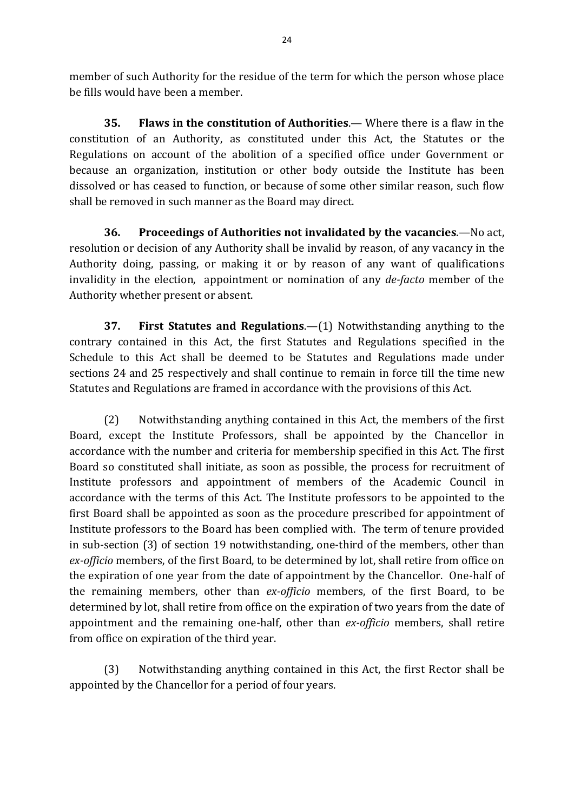member of such Authority for the residue of the term for which the person whose place be fills would have been a member.

**35. Flaws in the constitution of Authorities**.— Where there is a flaw in the constitution of an Authority, as constituted under this Act, the Statutes or the Regulations on account of the abolition of a specified office under Government or because an organization, institution or other body outside the Institute has been dissolved or has ceased to function, or because of some other similar reason, such flow shall be removed in such manner as the Board may direct.

**36. Proceedings of Authorities not invalidated by the vacancies**.—No act, resolution or decision of any Authority shall be invalid by reason, of any vacancy in the Authority doing, passing, or making it or by reason of any want of qualifications invalidity in the election, appointment or nomination of any *de-facto* member of the Authority whether present or absent.

**37. First Statutes and Regulations**.—(1) Notwithstanding anything to the contrary contained in this Act, the first Statutes and Regulations specified in the Schedule to this Act shall be deemed to be Statutes and Regulations made under sections 24 and 25 respectively and shall continue to remain in force till the time new Statutes and Regulations are framed in accordance with the provisions of this Act.

(2) Notwithstanding anything contained in this Act, the members of the first Board, except the Institute Professors, shall be appointed by the Chancellor in accordance with the number and criteria for membership specified in this Act. The first Board so constituted shall initiate, as soon as possible, the process for recruitment of Institute professors and appointment of members of the Academic Council in accordance with the terms of this Act. The Institute professors to be appointed to the first Board shall be appointed as soon as the procedure prescribed for appointment of Institute professors to the Board has been complied with. The term of tenure provided in sub-section (3) of section 19 notwithstanding, one-third of the members, other than *ex-officio* members, of the first Board, to be determined by lot, shall retire from office on the expiration of one year from the date of appointment by the Chancellor. One-half of the remaining members, other than *ex-officio* members, of the first Board, to be determined by lot, shall retire from office on the expiration of two years from the date of appointment and the remaining one-half, other than *ex-officio* members, shall retire from office on expiration of the third year.

(3) Notwithstanding anything contained in this Act, the first Rector shall be appointed by the Chancellor for a period of four years.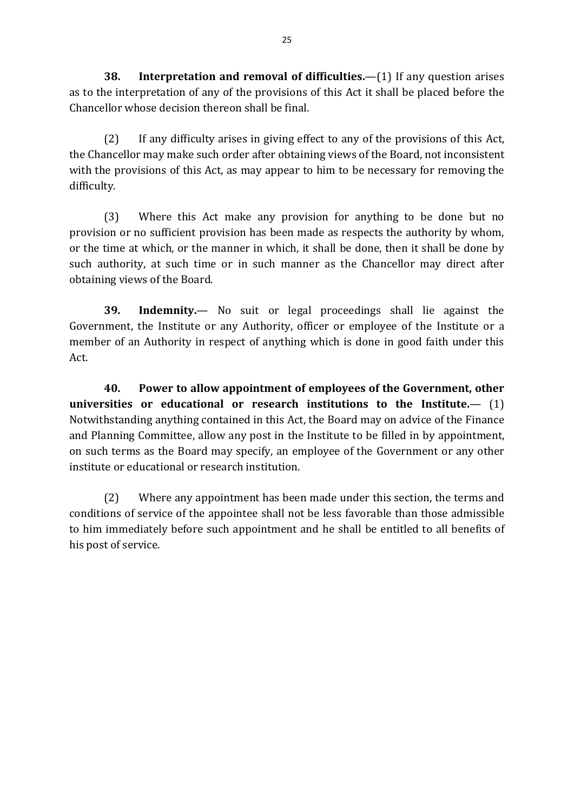**38. Interpretation and removal of difficulties.**—(1) If any question arises as to the interpretation of any of the provisions of this Act it shall be placed before the Chancellor whose decision thereon shall be final.

(2) If any difficulty arises in giving effect to any of the provisions of this Act, the Chancellor may make such order after obtaining views of the Board, not inconsistent with the provisions of this Act, as may appear to him to be necessary for removing the difficulty.

(3) Where this Act make any provision for anything to be done but no provision or no sufficient provision has been made as respects the authority by whom, or the time at which, or the manner in which, it shall be done, then it shall be done by such authority, at such time or in such manner as the Chancellor may direct after obtaining views of the Board.

**39. Indemnity.**— No suit or legal proceedings shall lie against the Government, the Institute or any Authority, officer or employee of the Institute or a member of an Authority in respect of anything which is done in good faith under this Act.

**40. Power to allow appointment of employees of the Government, other universities or educational or research institutions to the Institute.**— (1) Notwithstanding anything contained in this Act, the Board may on advice of the Finance and Planning Committee, allow any post in the Institute to be filled in by appointment, on such terms as the Board may specify, an employee of the Government or any other institute or educational or research institution.

(2) Where any appointment has been made under this section, the terms and conditions of service of the appointee shall not be less favorable than those admissible to him immediately before such appointment and he shall be entitled to all benefits of his post of service.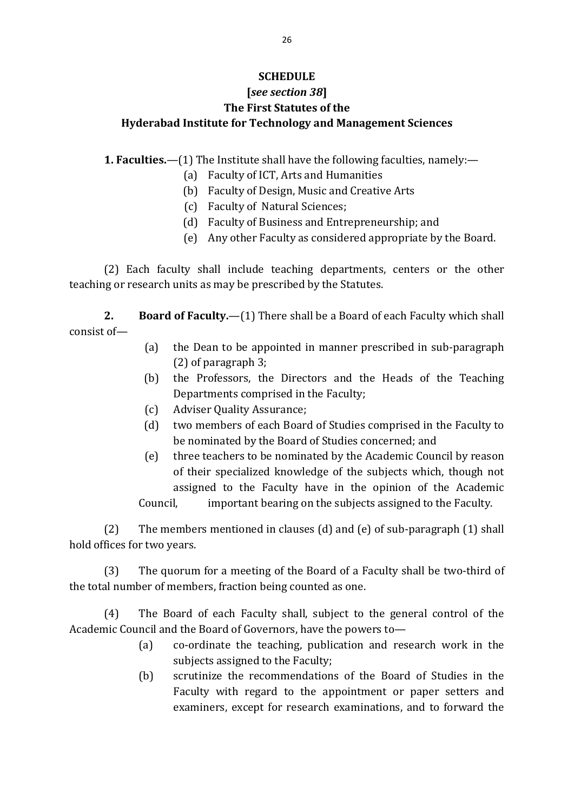# **SCHEDULE**

# **[***see section 38***] The First Statutes of the Hyderabad Institute for Technology and Management Sciences**

**1. Faculties.**—(1) The Institute shall have the following faculties, namely:—

- (a) Faculty of ICT, Arts and Humanities
- (b) Faculty of Design, Music and Creative Arts
- (c) Faculty of Natural Sciences;
- (d) Faculty of Business and Entrepreneurship; and
- (e) Any other Faculty as considered appropriate by the Board.

(2) Each faculty shall include teaching departments, centers or the other teaching or research units as may be prescribed by the Statutes.

**2. Board of Faculty.**—(1) There shall be a Board of each Faculty which shall consist of—

- (a) the Dean to be appointed in manner prescribed in sub-paragraph (2) of paragraph 3;
- (b) the Professors, the Directors and the Heads of the Teaching Departments comprised in the Faculty;
- (c) Adviser Quality Assurance;
- (d) two members of each Board of Studies comprised in the Faculty to be nominated by the Board of Studies concerned; and
- (e) three teachers to be nominated by the Academic Council by reason of their specialized knowledge of the subjects which, though not assigned to the Faculty have in the opinion of the Academic

Council, important bearing on the subjects assigned to the Faculty.

(2) The members mentioned in clauses (d) and (e) of sub-paragraph (1) shall hold offices for two years.

(3) The quorum for a meeting of the Board of a Faculty shall be two-third of the total number of members, fraction being counted as one.

(4) The Board of each Faculty shall, subject to the general control of the Academic Council and the Board of Governors, have the powers to—

- (a) co-ordinate the teaching, publication and research work in the subjects assigned to the Faculty;
- (b) scrutinize the recommendations of the Board of Studies in the Faculty with regard to the appointment or paper setters and examiners, except for research examinations, and to forward the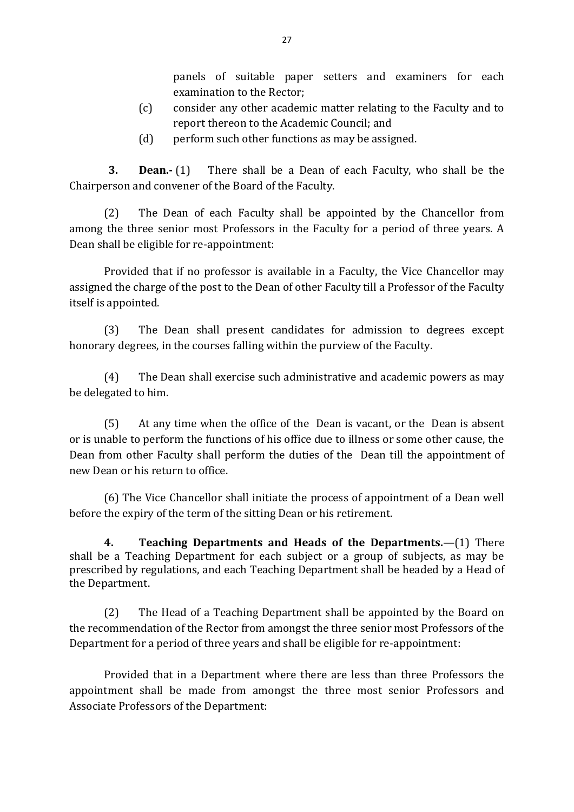panels of suitable paper setters and examiners for each examination to the Rector;

- (c) consider any other academic matter relating to the Faculty and to report thereon to the Academic Council; and
- (d) perform such other functions as may be assigned.

**3. Dean.-** (1) There shall be a Dean of each Faculty, who shall be the Chairperson and convener of the Board of the Faculty.

(2) The Dean of each Faculty shall be appointed by the Chancellor from among the three senior most Professors in the Faculty for a period of three years. A Dean shall be eligible for re-appointment:

Provided that if no professor is available in a Faculty, the Vice Chancellor may assigned the charge of the post to the Dean of other Faculty till a Professor of the Faculty itself is appointed.

(3) The Dean shall present candidates for admission to degrees except honorary degrees, in the courses falling within the purview of the Faculty.

(4) The Dean shall exercise such administrative and academic powers as may be delegated to him.

(5) At any time when the office of the Dean is vacant, or the Dean is absent or is unable to perform the functions of his office due to illness or some other cause, the Dean from other Faculty shall perform the duties of the Dean till the appointment of new Dean or his return to office.

(6) The Vice Chancellor shall initiate the process of appointment of a Dean well before the expiry of the term of the sitting Dean or his retirement.

**4. Teaching Departments and Heads of the Departments.**—(1) There shall be a Teaching Department for each subject or a group of subjects, as may be prescribed by regulations, and each Teaching Department shall be headed by a Head of the Department.

(2) The Head of a Teaching Department shall be appointed by the Board on the recommendation of the Rector from amongst the three senior most Professors of the Department for a period of three years and shall be eligible for re-appointment:

Provided that in a Department where there are less than three Professors the appointment shall be made from amongst the three most senior Professors and Associate Professors of the Department: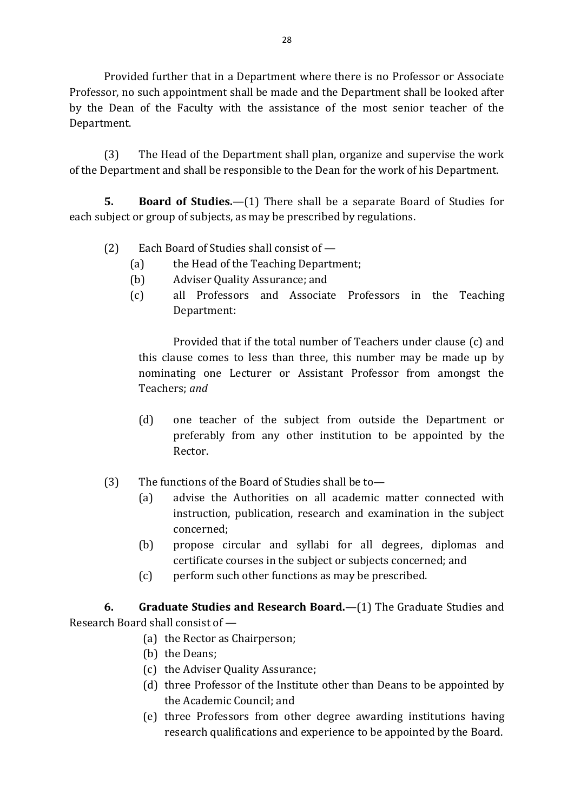Provided further that in a Department where there is no Professor or Associate Professor, no such appointment shall be made and the Department shall be looked after by the Dean of the Faculty with the assistance of the most senior teacher of the Department.

(3) The Head of the Department shall plan, organize and supervise the work of the Department and shall be responsible to the Dean for the work of his Department.

**5. Board of Studies.**—(1) There shall be a separate Board of Studies for each subject or group of subjects, as may be prescribed by regulations.

- (2) Each Board of Studies shall consist of
	- (a) the Head of the Teaching Department;
	- (b) Adviser Quality Assurance; and
	- (c) all Professors and Associate Professors in the Teaching Department:

Provided that if the total number of Teachers under clause (c) and this clause comes to less than three, this number may be made up by nominating one Lecturer or Assistant Professor from amongst the Teachers; *and*

- (d) one teacher of the subject from outside the Department or preferably from any other institution to be appointed by the Rector.
- (3) The functions of the Board of Studies shall be to—
	- (a) advise the Authorities on all academic matter connected with instruction, publication, research and examination in the subject concerned;
	- (b) propose circular and syllabi for all degrees, diplomas and certificate courses in the subject or subjects concerned; and
	- (c) perform such other functions as may be prescribed.

**6. Graduate Studies and Research Board.**—(1) The Graduate Studies and Research Board shall consist of —

- (a) the Rector as Chairperson;
- (b) the Deans;
- (c) the Adviser Quality Assurance;
- (d) three Professor of the Institute other than Deans to be appointed by the Academic Council; and
- (e) three Professors from other degree awarding institutions having research qualifications and experience to be appointed by the Board.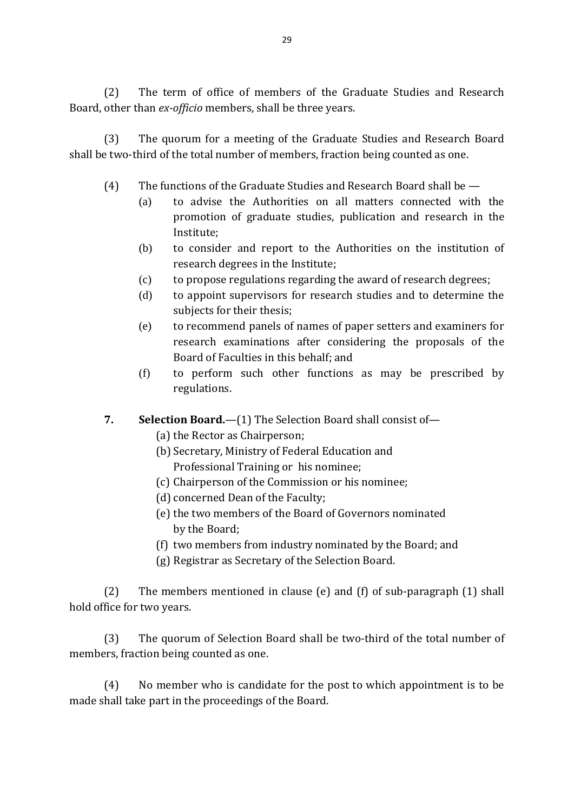(2) The term of office of members of the Graduate Studies and Research Board, other than *ex-officio* members, shall be three years.

(3) The quorum for a meeting of the Graduate Studies and Research Board shall be two-third of the total number of members, fraction being counted as one.

- (4) The functions of the Graduate Studies and Research Board shall be
	- (a) to advise the Authorities on all matters connected with the promotion of graduate studies, publication and research in the Institute;
	- (b) to consider and report to the Authorities on the institution of research degrees in the Institute;
	- (c) to propose regulations regarding the award of research degrees;
	- (d) to appoint supervisors for research studies and to determine the subjects for their thesis;
	- (e) to recommend panels of names of paper setters and examiners for research examinations after considering the proposals of the Board of Faculties in this behalf; and
	- (f) to perform such other functions as may be prescribed by regulations.
- **7. Selection Board.**—(1) The Selection Board shall consist of—
	- (a) the Rector as Chairperson;
	- (b) Secretary, Ministry of Federal Education and
		- Professional Training or his nominee;
	- (c) Chairperson of the Commission or his nominee;
	- (d) concerned Dean of the Faculty;
	- (e) the two members of the Board of Governors nominated by the Board;
	- (f) two members from industry nominated by the Board; and
	- (g) Registrar as Secretary of the Selection Board.

(2) The members mentioned in clause (e) and (f) of sub-paragraph (1) shall hold office for two years.

(3) The quorum of Selection Board shall be two-third of the total number of members, fraction being counted as one.

(4) No member who is candidate for the post to which appointment is to be made shall take part in the proceedings of the Board.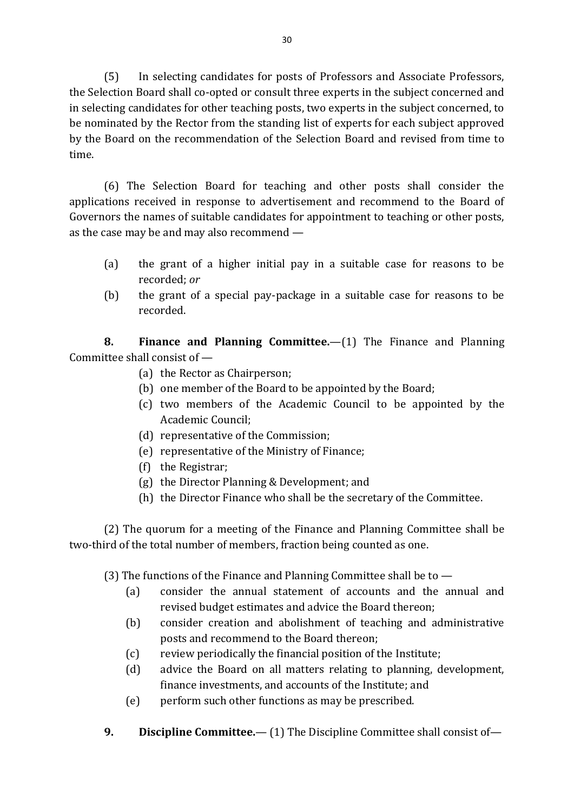(5) In selecting candidates for posts of Professors and Associate Professors, the Selection Board shall co-opted or consult three experts in the subject concerned and in selecting candidates for other teaching posts, two experts in the subject concerned, to be nominated by the Rector from the standing list of experts for each subject approved by the Board on the recommendation of the Selection Board and revised from time to time.

(6) The Selection Board for teaching and other posts shall consider the applications received in response to advertisement and recommend to the Board of Governors the names of suitable candidates for appointment to teaching or other posts, as the case may be and may also recommend —

- (a) the grant of a higher initial pay in a suitable case for reasons to be recorded; *or*
- (b) the grant of a special pay-package in a suitable case for reasons to be recorded.

**8. Finance and Planning Committee.**—(1) The Finance and Planning Committee shall consist of —

- (a) the Rector as Chairperson;
- (b) one member of the Board to be appointed by the Board;
- (c) two members of the Academic Council to be appointed by the Academic Council;
- (d) representative of the Commission;
- (e) representative of the Ministry of Finance;
- (f) the Registrar;
- (g) the Director Planning & Development; and
- (h) the Director Finance who shall be the secretary of the Committee.

(2) The quorum for a meeting of the Finance and Planning Committee shall be two-third of the total number of members, fraction being counted as one.

(3) The functions of the Finance and Planning Committee shall be to —

- (a) consider the annual statement of accounts and the annual and revised budget estimates and advice the Board thereon;
- (b) consider creation and abolishment of teaching and administrative posts and recommend to the Board thereon;
- (c) review periodically the financial position of the Institute;
- (d) advice the Board on all matters relating to planning, development, finance investments, and accounts of the Institute; and
- (e) perform such other functions as may be prescribed.
- **9. Discipline Committee.** (1) The Discipline Committee shall consist of—